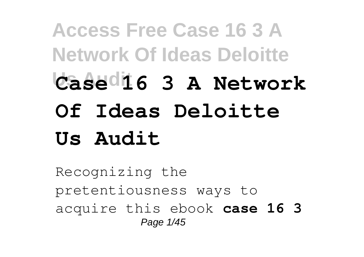## **Access Free Case 16 3 A Network Of Ideas Deloitte Us Audit Case 16 3 A Network Of Ideas Deloitte Us Audit**

Recognizing the pretentiousness ways to acquire this ebook **case 16 3** Page 1/45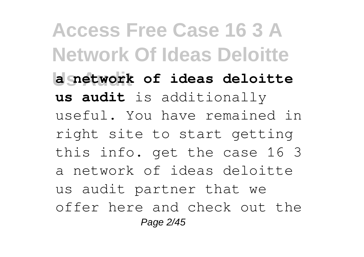**Access Free Case 16 3 A Network Of Ideas Deloitte Us Audit a network of ideas deloitte us audit** is additionally useful. You have remained in right site to start getting this info. get the case 16 3 a network of ideas deloitte us audit partner that we offer here and check out the Page 2/45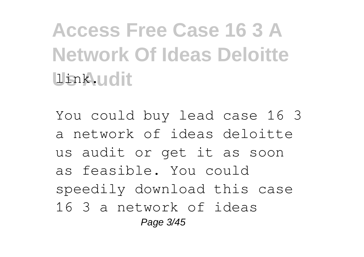**Access Free Case 16 3 A Network Of Ideas Deloitte Us Audit** link.

You could buy lead case 16 3 a network of ideas deloitte us audit or get it as soon as feasible. You could speedily download this case 16 3 a network of ideas Page 3/45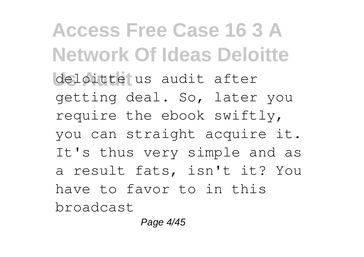**Access Free Case 16 3 A Network Of Ideas Deloitte** deloitte us audit after getting deal. So, later you require the ebook swiftly, you can straight acquire it. It's thus very simple and as a result fats, isn't it? You have to favor to in this broadcast

Page 4/45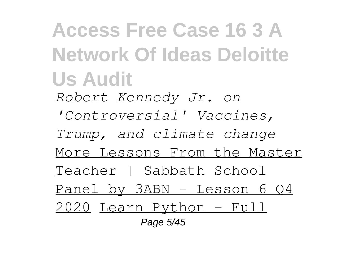**Access Free Case 16 3 A Network Of Ideas Deloitte Us Audit** *Robert Kennedy Jr. on 'Controversial' Vaccines, Trump, and climate change*

More Lessons From the Master

Teacher | Sabbath School

Panel by 3ABN - Lesson 6 Q4

2020 Learn Python - Full

Page 5/45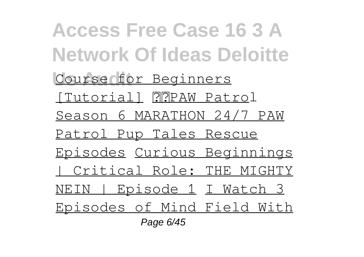**Access Free Case 16 3 A Network Of Ideas Deloitte Course for Beginners** [Tutorial] PPPAW Patrol Season 6 MARATHON 24/7 PAW Patrol Pup Tales Rescue Episodes Curious Beginnings | Critical Role: THE MIGHTY NEIN | Episode 1 I Watch 3 Episodes of Mind Field With Page 6/45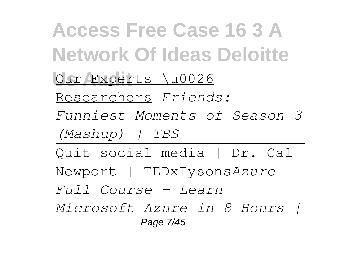**Access Free Case 16 3 A Network Of Ideas Deloitte** Our Experts \u0026 Researchers *Friends: Funniest Moments of Season 3 (Mashup) | TBS* Quit social media | Dr. Cal Newport | TEDxTysons*Azure Full Course - Learn Microsoft Azure in 8 Hours |* Page 7/45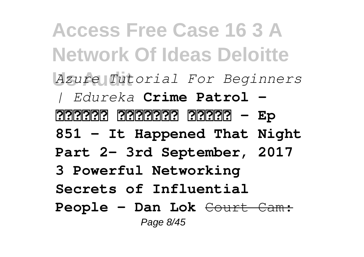**Access Free Case 16 3 A Network Of Ideas Deloitte Us Audit** *Azure Tutorial For Beginners | Edureka* **Crime Patrol -** <u> 222222 2322223</u> 232222 - Ep **851 - It Happened That Night Part 2- 3rd September, 2017 3 Powerful Networking Secrets of Influential People - Dan Lok** Court Cam: Page 8/45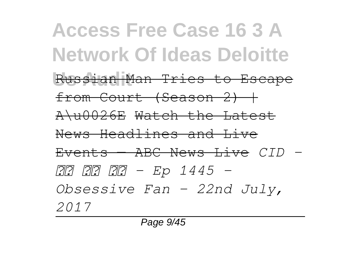**Access Free Case 16 3 A Network Of Ideas Deloitte** Russian Man Tries to Escape from Court (Season 2) | A\u0026E Watch the Latest News Headlines and Live Events — ABC News Live *CID - सी आई डी - Ep 1445 - Obsessive Fan - 22nd July, 2017*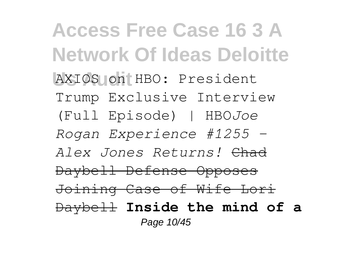**Access Free Case 16 3 A Network Of Ideas Deloitte** AXIOS on HBO: President Trump Exclusive Interview (Full Episode) | HBO*Joe Rogan Experience #1255 - Alex Jones Returns!* Chad Daybell Defense Opposes Joining Case of Wife Lori Daybell **Inside the mind of a** Page 10/45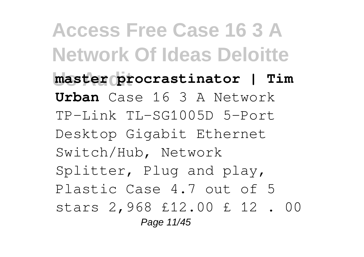**Access Free Case 16 3 A Network Of Ideas Deloitte Us Audit master procrastinator | Tim Urban** Case 16 3 A Network TP-Link TL-SG1005D 5-Port Desktop Gigabit Ethernet Switch/Hub, Network Splitter, Plug and play, Plastic Case 4.7 out of 5 stars 2,968 £12.00 £ 12 . 00 Page 11/45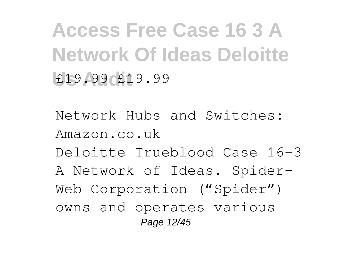**Access Free Case 16 3 A Network Of Ideas Deloitte Us Audit** £19.99 £19.99

Network Hubs and Switches: Amazon.co.uk Deloitte Trueblood Case 16-3 A Network of Ideas. Spider-Web Corporation ("Spider") owns and operates various Page 12/45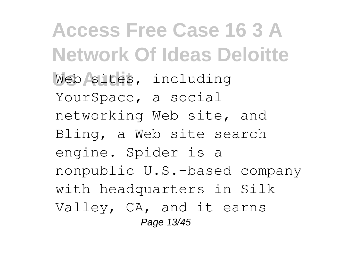**Access Free Case 16 3 A Network Of Ideas Deloitte** Web sites, including YourSpace, a social networking Web site, and Bling, a Web site search engine. Spider is a nonpublic U.S.-based company with headquarters in Silk Valley, CA, and it earns Page 13/45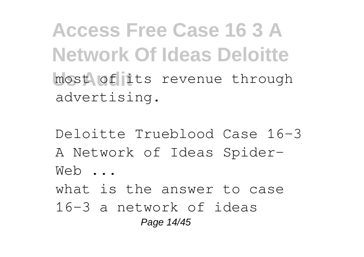**Access Free Case 16 3 A Network Of Ideas Deloitte** most of its revenue through advertising.

Deloitte Trueblood Case 16-3 A Network of Ideas Spider-Web ... what is the answer to case 16-3 a network of ideas Page 14/45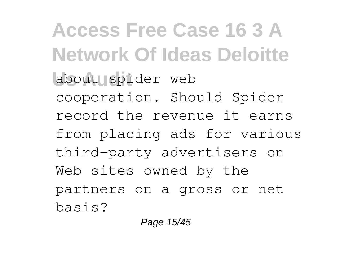**Access Free Case 16 3 A Network Of Ideas Deloitte** about spider web cooperation. Should Spider record the revenue it earns from placing ads for various third-party advertisers on Web sites owned by the partners on a gross or net basis?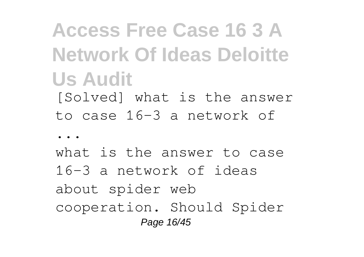**Access Free Case 16 3 A Network Of Ideas Deloitte Us Audit** [Solved] what is the answer

to case 16-3 a network of

...

what is the answer to case 16-3 a network of ideas about spider web cooperation. Should Spider Page 16/45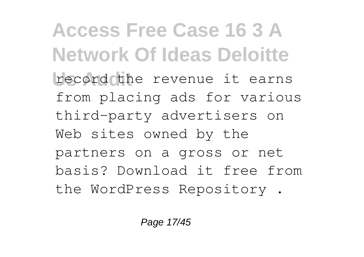**Access Free Case 16 3 A Network Of Ideas Deloitte** record the revenue it earns from placing ads for various third-party advertisers on Web sites owned by the partners on a gross or net basis? Download it free from the WordPress Repository .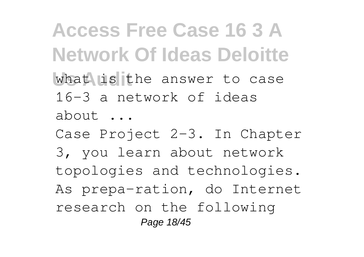**Access Free Case 16 3 A Network Of Ideas Deloitte** what is the answer to case 16-3 a network of ideas about ...

Case Project 2-3. In Chapter 3, you learn about network topologies and technologies. As prepa-ration, do Internet research on the following Page 18/45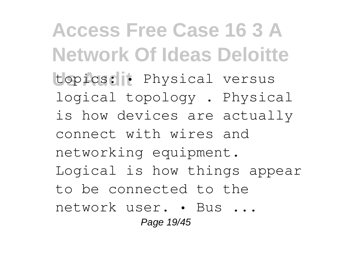**Access Free Case 16 3 A Network Of Ideas Deloitte** topics: • Physical versus logical topology . Physical is how devices are actually connect with wires and networking equipment. Logical is how things appear to be connected to the network user. • Bus ... Page 19/45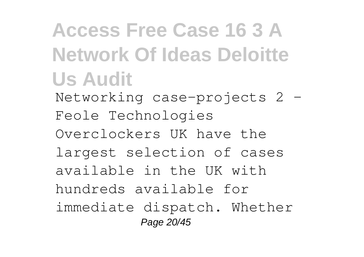**Access Free Case 16 3 A Network Of Ideas Deloitte Us Audit**

Networking case-projects 2 – Feole Technologies Overclockers UK have the

largest selection of cases

available in the UK with

hundreds available for

immediate dispatch. Whether Page 20/45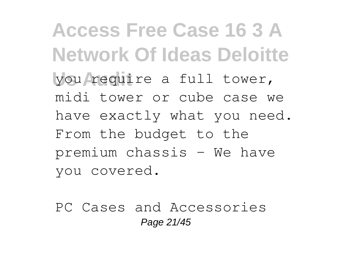**Access Free Case 16 3 A Network Of Ideas Deloitte Us Audit** you require a full tower, midi tower or cube case we have exactly what you need. From the budget to the premium chassis - We have you covered.

PC Cases and Accessories Page 21/45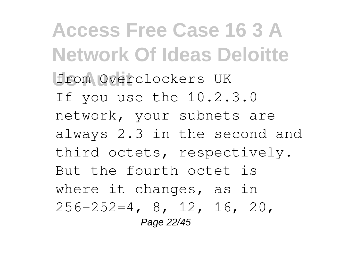**Access Free Case 16 3 A Network Of Ideas Deloitte Us Audit** from Overclockers UK If you use the 10.2.3.0 network, your subnets are always 2.3 in the second and third octets, respectively. But the fourth octet is where it changes, as in 256-252=4, 8, 12, 16, 20, Page 22/45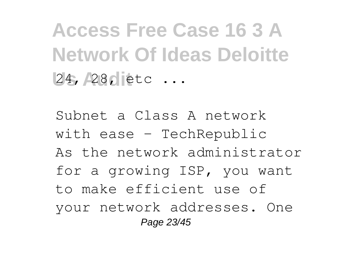**Access Free Case 16 3 A Network Of Ideas Deloitte** 24, 28, etc ...

Subnet a Class A network with ease - TechRepublic As the network administrator for a growing ISP, you want to make efficient use of your network addresses. One Page 23/45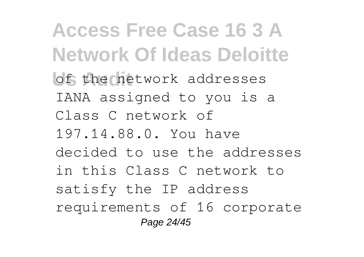**Access Free Case 16 3 A Network Of Ideas Deloitte** of the network addresses IANA assigned to you is a Class C network of 197.14.88.0. You have decided to use the addresses in this Class C network to satisfy the IP address requirements of 16 corporate Page 24/45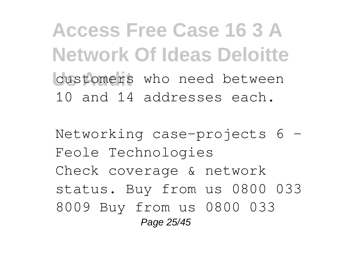**Access Free Case 16 3 A Network Of Ideas Deloitte** customers who need between 10 and 14 addresses each.

Networking case-projects 6 – Feole Technologies Check coverage & network status. Buy from us 0800 033 8009 Buy from us 0800 033 Page 25/45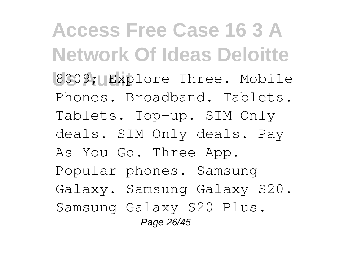**Access Free Case 16 3 A Network Of Ideas Deloitte** 8009; Explore Three. Mobile Phones. Broadband. Tablets. Tablets. Top-up. SIM Only deals. SIM Only deals. Pay As You Go. Three App. Popular phones. Samsung Galaxy. Samsung Galaxy S20. Samsung Galaxy S20 Plus. Page 26/45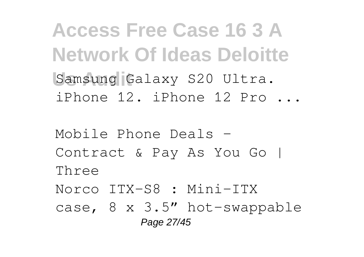**Access Free Case 16 3 A Network Of Ideas Deloitte** Samsung Galaxy S20 Ultra. iPhone 12. iPhone 12 Pro ...

Mobile Phone Deals – Contract & Pay As You Go | Three Norco ITX-S8 : Mini-ITX case, 8 x 3.5" hot-swappable Page 27/45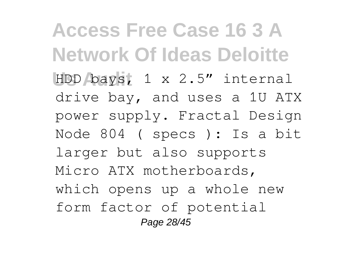**Access Free Case 16 3 A Network Of Ideas Deloitte Us Audit** HDD bays, 1 x 2.5" internal drive bay, and uses a 1U ATX power supply. Fractal Design Node 804 ( specs ): Is a bit larger but also supports Micro ATX motherboards, which opens up a whole new form factor of potential Page 28/45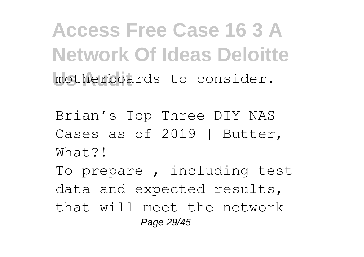**Access Free Case 16 3 A Network Of Ideas Deloitte** motherboards to consider.

Brian's Top Three DIY NAS Cases as of 2019 | Butter, What?! To prepare , including test data and expected results, that will meet the network Page 29/45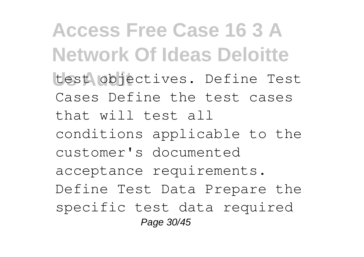**Access Free Case 16 3 A Network Of Ideas Deloitte** test objectives. Define Test Cases Define the test cases that will test all conditions applicable to the customer's documented acceptance requirements. Define Test Data Prepare the specific test data required Page 30/45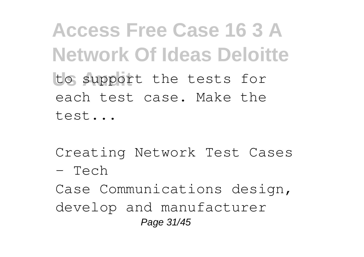**Access Free Case 16 3 A Network Of Ideas Deloitte** to support the tests for each test case. Make the test...

Creating Network Test Cases - Tech

Case Communications design, develop and manufacturer Page 31/45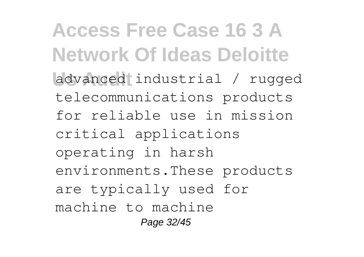**Access Free Case 16 3 A Network Of Ideas Deloitte Us Audit** advanced industrial / rugged telecommunications products for reliable use in mission critical applications operating in harsh environments.These products are typically used for machine to machine Page 32/45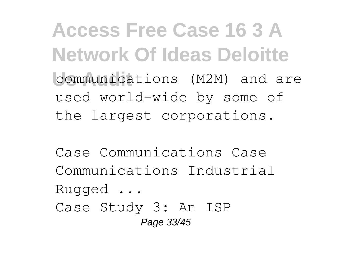**Access Free Case 16 3 A Network Of Ideas Deloitte Us Audit** communications (M2M) and are used world-wide by some of the largest corporations.

Case Communications Case Communications Industrial Rugged ... Case Study 3: An ISP Page 33/45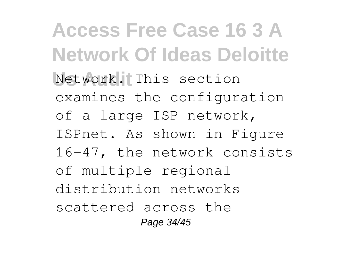**Access Free Case 16 3 A Network Of Ideas Deloitte** Network. This section examines the configuration of a large ISP network, ISPnet. As shown in Figure 16-47, the network consists of multiple regional distribution networks scattered across the Page 34/45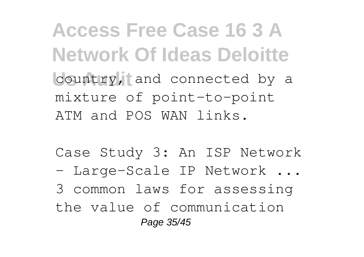**Access Free Case 16 3 A Network Of Ideas Deloitte** country, and connected by a mixture of point-to-point ATM and POS WAN links.

Case Study 3: An ISP Network

- Large-Scale IP Network ...

3 common laws for assessing

the value of communication Page 35/45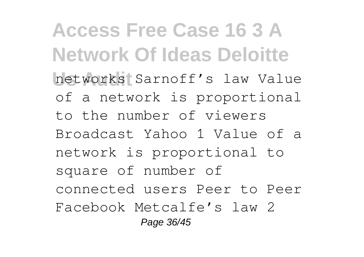**Access Free Case 16 3 A Network Of Ideas Deloitte Us Audit** networks Sarnoff's law Value of a network is proportional to the number of viewers Broadcast Yahoo 1 Value of a network is proportional to square of number of connected users Peer to Peer Facebook Metcalfe's law 2 Page 36/45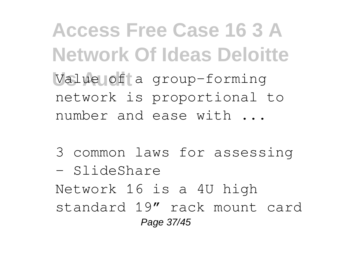**Access Free Case 16 3 A Network Of Ideas Deloitte** Value of a group-forming network is proportional to number and ease with ...

3 common laws for assessing - SlideShare Network 16 is a 4U high standard 19″ rack mount card Page 37/45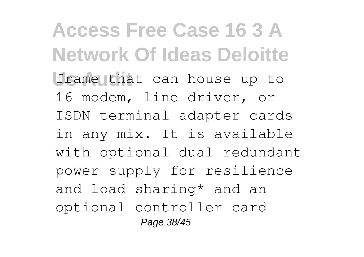**Access Free Case 16 3 A Network Of Ideas Deloitte** frame that can house up to 16 modem, line driver, or ISDN terminal adapter cards in any mix. It is available with optional dual redundant power supply for resilience and load sharing\* and an optional controller card Page 38/45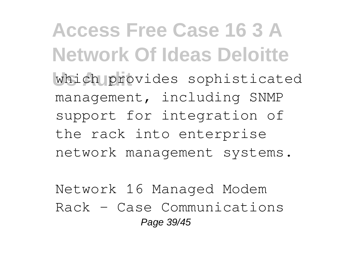**Access Free Case 16 3 A Network Of Ideas Deloitte** which provides sophisticated management, including SNMP support for integration of the rack into enterprise network management systems.

Network 16 Managed Modem Rack - Case Communications Page 39/45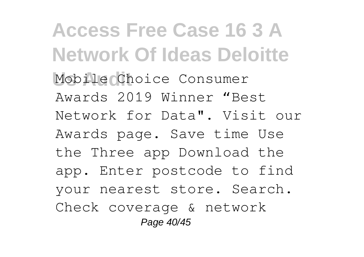**Access Free Case 16 3 A Network Of Ideas Deloitte Us Audit** Mobile Choice Consumer Awards 2019 Winner "Best Network for Data". Visit our Awards page. Save time Use the Three app Download the app. Enter postcode to find your nearest store. Search. Check coverage & network Page 40/45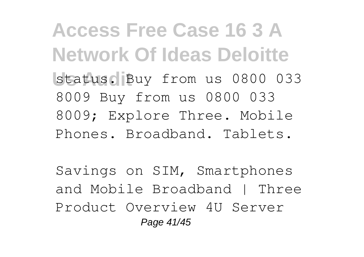**Access Free Case 16 3 A Network Of Ideas Deloitte** status. Buy from us 0800 033 8009 Buy from us 0800 033 8009; Explore Three. Mobile Phones. Broadband. Tablets.

Savings on SIM, Smartphones and Mobile Broadband | Three Product Overview 4U Server Page 41/45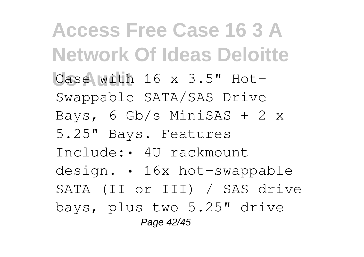**Access Free Case 16 3 A Network Of Ideas Deloitte Us Audit** Case with 16 x 3.5" Hot-Swappable SATA/SAS Drive Bays, 6 Gb/s MiniSAS + 2 x 5.25" Bays. Features Include:• 4U rackmount design. • 16x hot-swappable SATA (II or III) / SAS drive bays, plus two 5.25" drive Page 42/45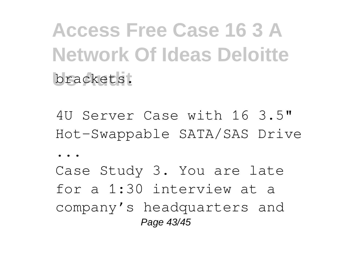**Access Free Case 16 3 A Network Of Ideas Deloitte** brackets.

4U Server Case with 16 3.5" Hot-Swappable SATA/SAS Drive ...

Case Study 3. You are late for a 1:30 interview at a company's headquarters and Page 43/45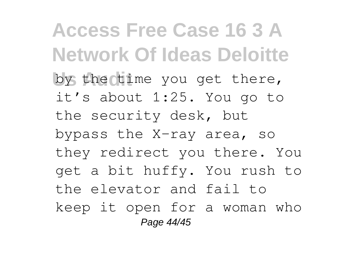**Access Free Case 16 3 A Network Of Ideas Deloitte** by the time you get there, it's about 1:25. You go to the security desk, but bypass the X-ray area, so they redirect you there. You get a bit huffy. You rush to the elevator and fail to keep it open for a woman who Page 44/45